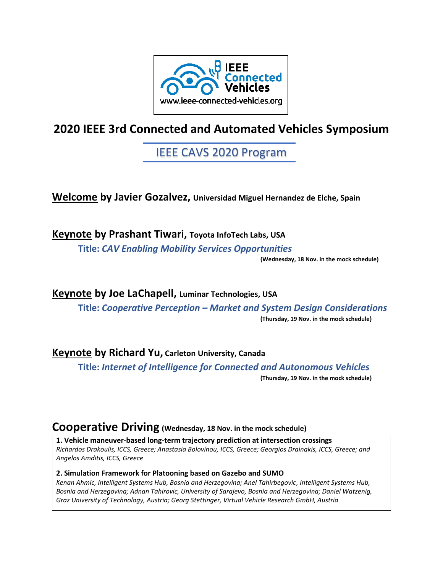

# **2020 IEEE 3rd Connected and Automated Vehicles Symposium**

# IEEE CAVS 2020 Program

**Welcome by Javier Gozalvez, Universidad Miguel Hernandez de Elche, Spain**

**Keynote by Prashant Tiwari, Toyota InfoTech Labs, USA Title:** *CAV Enabling Mobility Services Opportunities*

**(Wednesday, 18 Nov. in the mock schedule)**

**Keynote by Joe LaChapell, Luminar Technologies, USA Title:** *Cooperative Perception – Market and System Design Considerations* **(Thursday, 19 Nov. in the mock schedule)**

### **Keynote by Richard Yu, Carleton University, Canada**

**Title:** *Internet of Intelligence for Connected and Autonomous Vehicles*

**(Thursday, 19 Nov. in the mock schedule)**

## **Cooperative Driving (Wednesday, 18 Nov. in the mock schedule)**

**1. Vehicle maneuver-based long-term trajectory prediction at intersection crossings** *Richardos Drakoulis, ICCS, Greece; Anastasia Bolovinou, ICCS, Greece; Georgios Drainakis, ICCS, Greece; and Angelos Amditis, ICCS, Greece*

#### **2. Simulation Framework for Platooning based on Gazebo and SUMO**

*Kenan Ahmic, Intelligent Systems Hub, Bosnia and Herzegovina; Anel Tahirbegovic, Intelligent Systems Hub, Bosnia and Herzegovina; Adnan Tahirovic, University of Sarajevo, Bosnia and Herzegovina; Daniel Watzenig, Graz University of Technology, Austria; Georg Stettinger, Virtual Vehicle Research GmbH, Austria*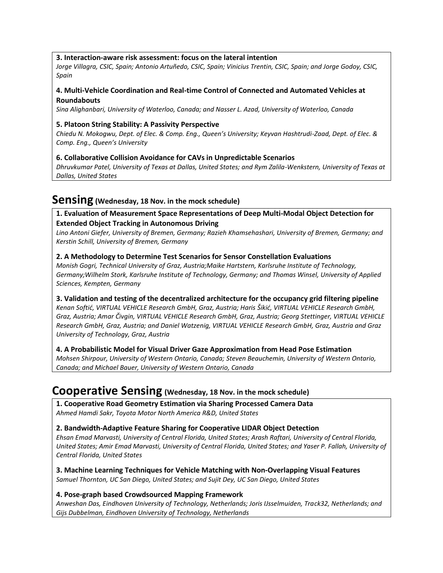#### **3. Interaction-aware risk assessment: focus on the lateral intention**

*Jorge Villagra, CSIC, Spain; Antonio Artuñedo, CSIC, Spain; Vinicius Trentin, CSIC, Spain; and Jorge Godoy, CSIC, Spain*

#### **4. Multi-Vehicle Coordination and Real-time Control of Connected and Automated Vehicles at Roundabouts**

*Sina Alighanbari, University of Waterloo, Canada; and Nasser L. Azad, University of Waterloo, Canada*

#### **5. Platoon String Stability: A Passivity Perspective**

*Chiedu N. Mokogwu, Dept. of Elec. & Comp. Eng., Queen's University; Keyvan Hashtrudi-Zaad, Dept. of Elec. & Comp. Eng., Queen's University*

#### **6. Collaborative Collision Avoidance for CAVs in Unpredictable Scenarios**

*Dhruvkumar Patel, University of Texas at Dallas, United States; and Rym Zalila-Wenkstern, University of Texas at Dallas, United States*

## **Sensing (Wednesday, 18 Nov. in the mock schedule)**

#### **1. Evaluation of Measurement Space Representations of Deep Multi-Modal Object Detection for Extended Object Tracking in Autonomous Driving**

*Lino Antoni Giefer, University of Bremen, Germany; Razieh Khamsehashari, University of Bremen, Germany; and Kerstin Schill, University of Bremen, Germany*

#### **2. A Methodology to Determine Test Scenarios for Sensor Constellation Evaluations**

*Monish Gogri, Technical University of Graz, Austria;Maike Hartstern, Karlsruhe Institute of Technology, Germany;Wilhelm Stork, Karlsruhe Institute of Technology, Germany; and Thomas Winsel, University of Applied Sciences, Kempten, Germany*

#### **3. Validation and testing of the decentralized architecture for the occupancy grid filtering pipeline**

*Kenan Softić, VIRTUAL VEHICLE Research GmbH, Graz, Austria; Haris Šikić, VIRTUAL VEHICLE Research GmbH, Graz, Austria; Amar Čivgin, VIRTUAL VEHICLE Research GmbH, Graz, Austria; Georg Stettinger, VIRTUAL VEHICLE Research GmbH, Graz, Austria; and Daniel Watzenig, VIRTUAL VEHICLE Research GmbH, Graz, Austria and Graz University of Technology, Graz, Austria*

#### **4. A Probabilistic Model for Visual Driver Gaze Approximation from Head Pose Estimation**

*Mohsen Shirpour, University of Western Ontario, Canada; Steven Beauchemin, University of Western Ontario, Canada; and Michael Bauer, University of Western Ontario, Canada*

### **Cooperative Sensing (Wednesday, 18 Nov. in the mock schedule)**

**1. Cooperative Road Geometry Estimation via Sharing Processed Camera Data** *Ahmed Hamdi Sakr, Toyota Motor North America R&D, United States*

#### **2. Bandwidth-Adaptive Feature Sharing for Cooperative LIDAR Object Detection**

*Ehsan Emad Marvasti, University of Central Florida, United States; Arash Raftari, University of Central Florida, United States; Amir Emad Marvasti, University of Central Florida, United States; and Yaser P. Fallah, University of Central Florida, United States*

**3. Machine Learning Techniques for Vehicle Matching with Non-Overlapping Visual Features** *Samuel Thornton, UC San Diego, United States; and Sujit Dey, UC San Diego, United States*

#### **4. Pose-graph based Crowdsourced Mapping Framework**

*Anweshan Das, Eindhoven University of Technology, Netherlands; Joris IJsselmuiden, Track32, Netherlands; and Gijs Dubbelman, Eindhoven University of Technology, Netherlands*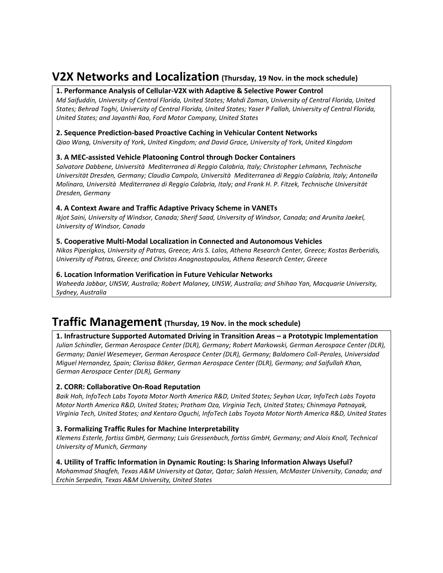## **V2X Networks and Localization (Thursday, <sup>19</sup> Nov. in the mock schedule)**

#### **1. Performance Analysis of Cellular-V2X with Adaptive & Selective Power Control**

*Md Saifuddin, University of Central Florida, United States; Mahdi Zaman, University of Central Florida, United States; Behrad Toghi, University of Central Florida, United States; Yaser P Fallah, University of Central Florida, United States; and Jayanthi Rao, Ford Motor Company, United States*

#### **2. Sequence Prediction-based Proactive Caching in Vehicular Content Networks**

*Qiao Wang, University of York, United Kingdom; and David Grace, University of York, United Kingdom*

#### **3. A MEC-assisted Vehicle Platooning Control through Docker Containers**

*Salvatore Dabbene, Università Mediterranea di Reggio Calabria, Italy; Christopher Lehmann, Technische Universität Dresden, Germany; Claudia Campolo, Università Mediterranea di Reggio Calabria, Italy; Antonella Molinaro, Università Mediterranea di Reggio Calabria, Italy; and Frank H. P. Fitzek, Technische Universität Dresden, Germany*

#### **4. A Context Aware and Traffic Adaptive Privacy Scheme in VANETs**

*Ikjot Saini, University of Windsor, Canada; Sherif Saad, University of Windsor, Canada; and Arunita Jaekel, University of Windsor, Canada*

#### **5. Cooperative Multi-Modal Localization in Connected and Autonomous Vehicles**

*Nikos Piperigkos, University of Patras, Greece; Aris S. Lalos, Athena Research Center, Greece; Kostas Berberidis, University of Patras, Greece; and Christos Anagnostopoulos, Athena Research Center, Greece*

#### **6. Location Information Verification in Future Vehicular Networks**

*Waheeda Jabbar, UNSW, Australia; Robert Malaney, UNSW, Australia; and Shihao Yan, Macquarie University, Sydney, Australia*

## **Traffic Management (Thursday, <sup>19</sup> Nov. in the mock schedule)**

#### **1. Infrastructure Supported Automated Driving in Transition Areas – a Prototypic Implementation**

*Julian Schindler, German Aerospace Center (DLR), Germany; Robert Markowski, German Aerospace Center (DLR), Germany; Daniel Wesemeyer, German Aerospace Center (DLR), Germany; Baldomero Coll-Perales, Universidad Miguel Hernandez, Spain; Clarissa Böker, German Aerospace Center (DLR), Germany; and Saifullah Khan, German Aerospace Center (DLR), Germany*

#### **2. CORR: Collaborative On-Road Reputation**

*Baik Hoh, InfoTech Labs Toyota Motor North America R&D, United States; Seyhan Ucar, InfoTech Labs Toyota Motor North America R&D, United States; Pratham Oza, Virginia Tech, United States; Chinmaya Patnayak, Virginia Tech, United States; and Kentaro Oguchi, InfoTech Labs Toyota Motor North America R&D, United States*

#### **3. Formalizing Traffic Rules for Machine Interpretability**

*Klemens Esterle, fortiss GmbH, Germany; Luis Gressenbuch, fortiss GmbH, Germany; and Alois Knoll, Technical University of Munich, Germany*

#### **4. Utility of Traffic Information in Dynamic Routing: Is Sharing Information Always Useful?**

*Mohammad Shaqfeh, Texas A&M University at Qatar, Qatar; Salah Hessien, McMaster University, Canada; and Erchin Serpedin, Texas A&M University, United States*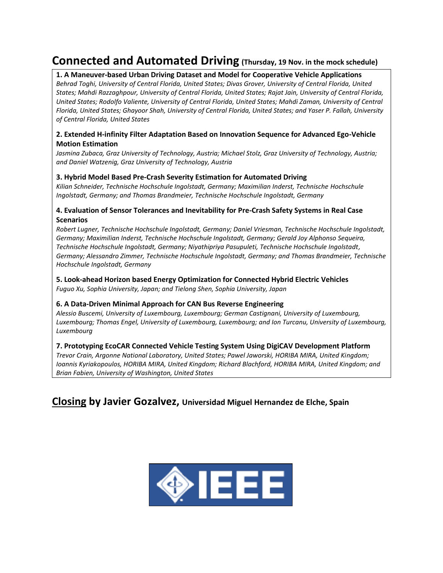## **Connected and Automated Driving (Thursday, <sup>19</sup> Nov. in the mock schedule)**

#### **1. A Maneuver-based Urban Driving Dataset and Model for Cooperative Vehicle Applications**

*Behrad Toghi, University of Central Florida, United States; Divas Grover, University of Central Florida, United States; Mahdi Razzaghpour, University of Central Florida, United States; Rajat Jain, University of Central Florida, United States; Rodolfo Valiente, University of Central Florida, United States; Mahdi Zaman, University of Central Florida, United States; Ghayoor Shah, University of Central Florida, United States; and Yaser P. Fallah, University of Central Florida, United States*

#### **2. Extended H-infinity Filter Adaptation Based on Innovation Sequence for Advanced Ego-Vehicle Motion Estimation**

*Jasmina Zubaca, Graz University of Technology, Austria; Michael Stolz, Graz University of Technology, Austria; and Daniel Watzenig, Graz University of Technology, Austria*

#### **3. Hybrid Model Based Pre-Crash Severity Estimation for Automated Driving**

*Kilian Schneider, Technische Hochschule Ingolstadt, Germany; Maximilian Inderst, Technische Hochschule Ingolstadt, Germany; and Thomas Brandmeier, Technische Hochschule Ingolstadt, Germany*

#### **4. Evaluation of Sensor Tolerances and Inevitability for Pre-Crash Safety Systems in Real Case Scenarios**

*Robert Lugner, Technische Hochschule Ingolstadt, Germany; Daniel Vriesman, Technische Hochschule Ingolstadt, Germany; Maximilian Inderst, Technische Hochschule Ingolstadt, Germany; Gerald Joy Alphonso Sequeira, Technische Hochschule Ingolstadt, Germany; Niyathipriya Pasupuleti, Technische Hochschule Ingolstadt, Germany; Alessandro Zimmer, Technische Hochschule Ingolstadt, Germany; and Thomas Brandmeier, Technische Hochschule Ingolstadt, Germany*

## **5. Look-ahead Horizon based Energy Optimization for Connected Hybrid Electric Vehicles**

*Fuguo Xu, Sophia University, Japan; and Tielong Shen, Sophia University, Japan*

#### **6. A Data-Driven Minimal Approach for CAN Bus Reverse Engineering**

*Alessio Buscemi, University of Luxembourg, Luxembourg; German Castignani, University of Luxembourg, Luxembourg; Thomas Engel, University of Luxembourg, Luxembourg; and Ion Turcanu, University of Luxembourg, Luxembourg*

#### **7. Prototyping EcoCAR Connected Vehicle Testing System Using DigiCAV Development Platform**

*Trevor Crain, Argonne National Laboratory, United States; Pawel Jaworski, HORIBA MIRA, United Kingdom; Ioannis Kyriakopoulos, HORIBA MIRA, United Kingdom; Richard Blachford, HORIBA MIRA, United Kingdom; and Brian Fabien, University of Washington, United States*

### **Closing by Javier Gozalvez, Universidad Miguel Hernandez de Elche, Spain**